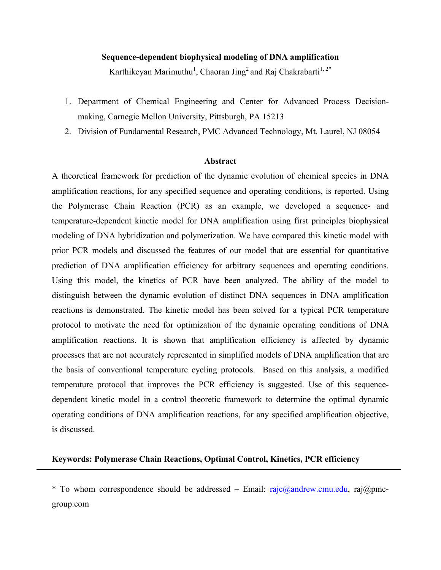### **Sequence-dependent biophysical modeling of DNA amplification**

Karthikeyan Marimuthu<sup>1</sup>, Chaoran Jing<sup>2</sup> and Raj Chakrabarti<sup>1,2\*</sup>

- 1. Department of Chemical Engineering and Center for Advanced Process Decisionmaking, Carnegie Mellon University, Pittsburgh, PA 15213
- 2. Division of Fundamental Research, PMC Advanced Technology, Mt. Laurel, NJ 08054

### **Abstract**

A theoretical framework for prediction of the dynamic evolution of chemical species in DNA amplification reactions, for any specified sequence and operating conditions, is reported. Using the Polymerase Chain Reaction (PCR) as an example, we developed a sequence- and temperature-dependent kinetic model for DNA amplification using first principles biophysical modeling of DNA hybridization and polymerization. We have compared this kinetic model with prior PCR models and discussed the features of our model that are essential for quantitative prediction of DNA amplification efficiency for arbitrary sequences and operating conditions. Using this model, the kinetics of PCR have been analyzed. The ability of the model to distinguish between the dynamic evolution of distinct DNA sequences in DNA amplification reactions is demonstrated. The kinetic model has been solved for a typical PCR temperature protocol to motivate the need for optimization of the dynamic operating conditions of DNA amplification reactions. It is shown that amplification efficiency is affected by dynamic processes that are not accurately represented in simplified models of DNA amplification that are the basis of conventional temperature cycling protocols. Based on this analysis, a modified temperature protocol that improves the PCR efficiency is suggested. Use of this sequencedependent kinetic model in a control theoretic framework to determine the optimal dynamic operating conditions of DNA amplification reactions, for any specified amplification objective, is discussed.

### **Keywords: Polymerase Chain Reactions, Optimal Control, Kinetics, PCR efficiency**

\* To whom correspondence should be addressed – Email: rajc@andrew.cmu.edu, raj@pmcgroup.com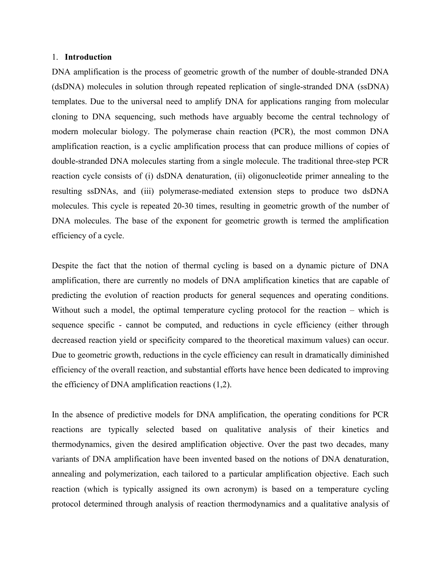#### 1. **Introduction**

DNA amplification is the process of geometric growth of the number of double-stranded DNA (dsDNA) molecules in solution through repeated replication of single-stranded DNA (ssDNA) templates. Due to the universal need to amplify DNA for applications ranging from molecular cloning to DNA sequencing, such methods have arguably become the central technology of modern molecular biology. The polymerase chain reaction (PCR), the most common DNA amplification reaction, is a cyclic amplification process that can produce millions of copies of double-stranded DNA molecules starting from a single molecule. The traditional three-step PCR reaction cycle consists of (i) dsDNA denaturation, (ii) oligonucleotide primer annealing to the resulting ssDNAs, and (iii) polymerase-mediated extension steps to produce two dsDNA molecules. This cycle is repeated 20-30 times, resulting in geometric growth of the number of DNA molecules. The base of the exponent for geometric growth is termed the amplification efficiency of a cycle.

Despite the fact that the notion of thermal cycling is based on a dynamic picture of DNA amplification, there are currently no models of DNA amplification kinetics that are capable of predicting the evolution of reaction products for general sequences and operating conditions. Without such a model, the optimal temperature cycling protocol for the reaction – which is sequence specific - cannot be computed, and reductions in cycle efficiency (either through decreased reaction yield or specificity compared to the theoretical maximum values) can occur. Due to geometric growth, reductions in the cycle efficiency can result in dramatically diminished efficiency of the overall reaction, and substantial efforts have hence been dedicated to improving the efficiency of DNA amplification reactions (1,2).

In the absence of predictive models for DNA amplification, the operating conditions for PCR reactions are typically selected based on qualitative analysis of their kinetics and thermodynamics, given the desired amplification objective. Over the past two decades, many variants of DNA amplification have been invented based on the notions of DNA denaturation, annealing and polymerization, each tailored to a particular amplification objective. Each such reaction (which is typically assigned its own acronym) is based on a temperature cycling protocol determined through analysis of reaction thermodynamics and a qualitative analysis of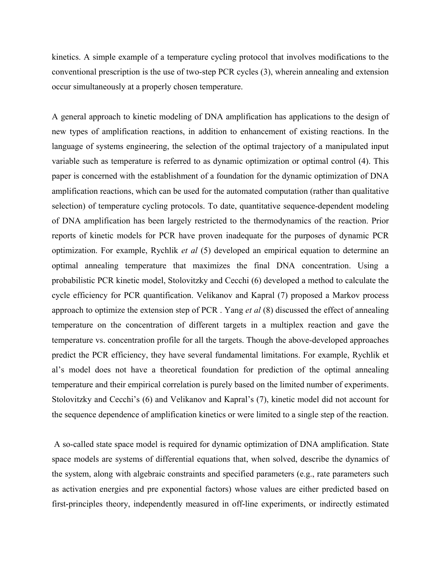kinetics. A simple example of a temperature cycling protocol that involves modifications to the conventional prescription is the use of two-step PCR cycles (3), wherein annealing and extension occur simultaneously at a properly chosen temperature.

A general approach to kinetic modeling of DNA amplification has applications to the design of new types of amplification reactions, in addition to enhancement of existing reactions. In the language of systems engineering, the selection of the optimal trajectory of a manipulated input variable such as temperature is referred to as dynamic optimization or optimal control (4). This paper is concerned with the establishment of a foundation for the dynamic optimization of DNA amplification reactions, which can be used for the automated computation (rather than qualitative selection) of temperature cycling protocols. To date, quantitative sequence-dependent modeling of DNA amplification has been largely restricted to the thermodynamics of the reaction. Prior reports of kinetic models for PCR have proven inadequate for the purposes of dynamic PCR optimization. For example, Rychlik *et al* (5) developed an empirical equation to determine an optimal annealing temperature that maximizes the final DNA concentration. Using a probabilistic PCR kinetic model, Stolovitzky and Cecchi (6) developed a method to calculate the cycle efficiency for PCR quantification. Velikanov and Kapral (7) proposed a Markov process approach to optimize the extension step of PCR . Yang *et al* (8) discussed the effect of annealing temperature on the concentration of different targets in a multiplex reaction and gave the temperature vs. concentration profile for all the targets. Though the above-developed approaches predict the PCR efficiency, they have several fundamental limitations. For example, Rychlik et al's model does not have a theoretical foundation for prediction of the optimal annealing temperature and their empirical correlation is purely based on the limited number of experiments. Stolovitzky and Cecchi's (6) and Velikanov and Kapral's (7), kinetic model did not account for the sequence dependence of amplification kinetics or were limited to a single step of the reaction.

 A so-called state space model is required for dynamic optimization of DNA amplification. State space models are systems of differential equations that, when solved, describe the dynamics of the system, along with algebraic constraints and specified parameters (e.g., rate parameters such as activation energies and pre exponential factors) whose values are either predicted based on first-principles theory, independently measured in off-line experiments, or indirectly estimated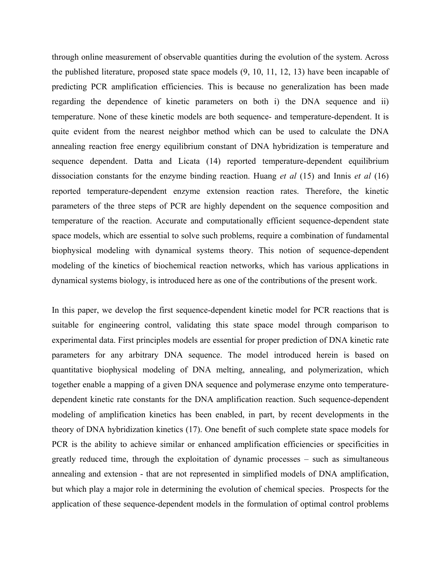through online measurement of observable quantities during the evolution of the system. Across the published literature, proposed state space models (9, 10, 11, 12, 13) have been incapable of predicting PCR amplification efficiencies. This is because no generalization has been made regarding the dependence of kinetic parameters on both i) the DNA sequence and ii) temperature. None of these kinetic models are both sequence- and temperature-dependent. It is quite evident from the nearest neighbor method which can be used to calculate the DNA annealing reaction free energy equilibrium constant of DNA hybridization is temperature and sequence dependent. Datta and Licata (14) reported temperature-dependent equilibrium dissociation constants for the enzyme binding reaction. Huang *et al* (15) and Innis *et al* (16) reported temperature-dependent enzyme extension reaction rates. Therefore, the kinetic parameters of the three steps of PCR are highly dependent on the sequence composition and temperature of the reaction. Accurate and computationally efficient sequence-dependent state space models, which are essential to solve such problems, require a combination of fundamental biophysical modeling with dynamical systems theory. This notion of sequence-dependent modeling of the kinetics of biochemical reaction networks, which has various applications in dynamical systems biology, is introduced here as one of the contributions of the present work.

In this paper, we develop the first sequence-dependent kinetic model for PCR reactions that is suitable for engineering control, validating this state space model through comparison to experimental data. First principles models are essential for proper prediction of DNA kinetic rate parameters for any arbitrary DNA sequence. The model introduced herein is based on quantitative biophysical modeling of DNA melting, annealing, and polymerization, which together enable a mapping of a given DNA sequence and polymerase enzyme onto temperaturedependent kinetic rate constants for the DNA amplification reaction. Such sequence-dependent modeling of amplification kinetics has been enabled, in part, by recent developments in the theory of DNA hybridization kinetics (17). One benefit of such complete state space models for PCR is the ability to achieve similar or enhanced amplification efficiencies or specificities in greatly reduced time, through the exploitation of dynamic processes – such as simultaneous annealing and extension - that are not represented in simplified models of DNA amplification, but which play a major role in determining the evolution of chemical species. Prospects for the application of these sequence-dependent models in the formulation of optimal control problems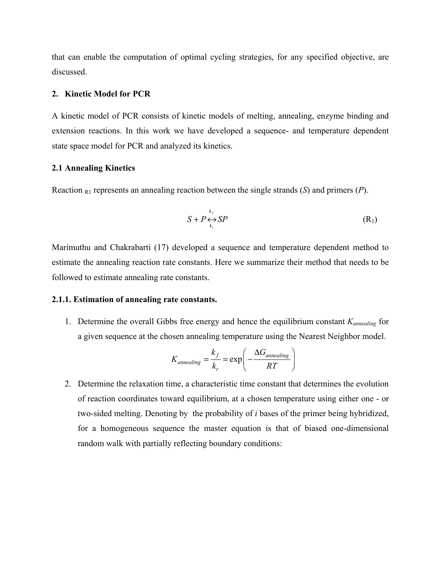that can enable the computation of optimal cycling strategies, for any specified objective, are discussed.

#### **2. Kinetic Model for PCR**

A kinetic model of PCR consists of kinetic models of melting, annealing, enzyme binding and extension reactions. In this work we have developed a sequence- and temperature dependent state space model for PCR and analyzed its kinetics.

### **2.1 Annealing Kinetics**

Reaction R1 represents an annealing reaction between the single strands (*S*) and primers (*P*).

$$
S + P \underset{k_r}{\leftrightarrow} SP
$$
 (R<sub>1</sub>)

Marimuthu and Chakrabarti (17) developed a sequence and temperature dependent method to estimate the annealing reaction rate constants. Here we summarize their method that needs to be followed to estimate annealing rate constants.

#### **2.1.1. Estimation of annealing rate constants.**

1. Determine the overall Gibbs free energy and hence the equilibrium constant *Kannealing* for a given sequence at the chosen annealing temperature using the Nearest Neighbor model.

$$
K_{annealing} = \frac{k_f}{k_r} = \exp\left(-\frac{\Delta G_{annealing}}{RT}\right)
$$

2. Determine the relaxation time, a characteristic time constant that determines the evolution of reaction coordinates toward equilibrium, at a chosen temperature using either one - or two-sided melting. Denoting by the probability of *i* bases of the primer being hybridized, for a homogeneous sequence the master equation is that of biased one-dimensional random walk with partially reflecting boundary conditions: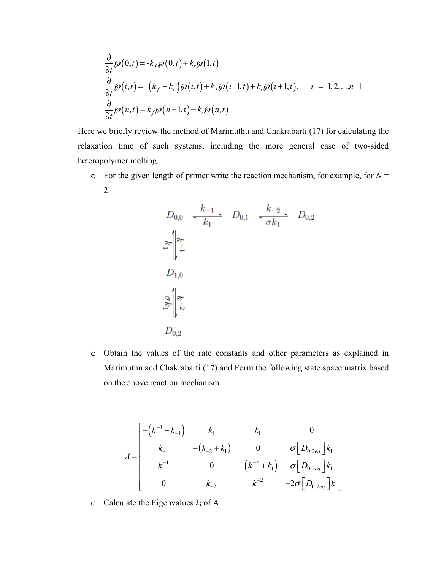$$
\frac{\partial}{\partial t} \wp(0,t) = -k_f \wp(0,t) + k_r \wp(1,t)
$$
\n
$$
\frac{\partial}{\partial t} \wp(i,t) = -(k_f + k_r) \wp(i,t) + k_f \wp(i-1,t) + k_r \wp(i+1,t), \quad i = 1, 2, \dots, n-1
$$
\n
$$
\frac{\partial}{\partial t} \wp(n,t) = k_f \wp(n-1,t) - k_r \wp(n,t)
$$

Here we briefly review the method of Marimuthu and Chakrabarti (17) for calculating the relaxation time of such systems, including the more general case of two-sided heteropolymer melting.

 $\circ$  For the given length of primer write the reaction mechanism, for example, for  $N =$ 2.

$$
D_{0,0} \xrightarrow{k_{-1}} D_{0,1} \xrightarrow{k_{-2}} D_{0,2}
$$
  

$$
\sum_{i=1}^{n} \left| \sum_{i=1}^{n} D_{0,1} \right|
$$
  

$$
D_{1,0}
$$
  

$$
\sum_{i=1}^{n} \left| \sum_{i=1}^{n} D_{0,2} \right|
$$

o Obtain the values of the rate constants and other parameters as explained in Marimuthu and Chakrabarti (17) and Form the following state space matrix based on the above reaction mechanism

$$
A = \begin{bmatrix} -(k^{-1} + k_{-1}) & k_1 & k_1 & 0 \ k_{-1} & -(k_{-2} + k_1) & 0 & \sigma[D_{0,2eq}]\k_1 \ k^{-1} & 0 & -(k^{-2} + k_1) & \sigma[D_{0,2eq}]\k_1 \ 0 & k_{-2} & k^{-2} & -2\sigma[D_{0,2eq}]\k_1 \end{bmatrix}
$$

o Calculate the Eigenvalues  $\lambda_i$  of A.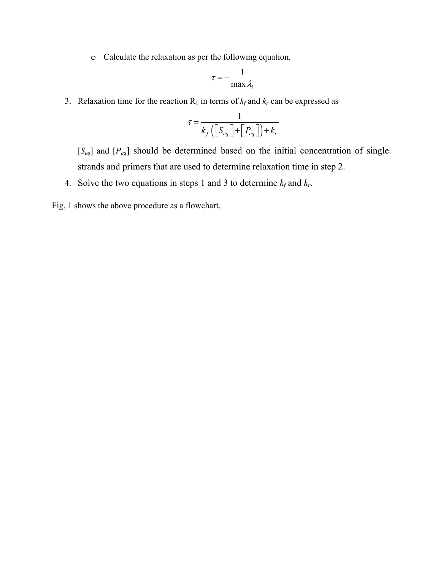o Calculate the relaxation as per the following equation.

$$
\tau = -\frac{1}{\max \lambda_i}
$$

3. Relaxation time for the reaction  $R_1$  in terms of  $k_f$  and  $k_r$  can be expressed as

$$
\tau = \frac{1}{k_f \left( \left[ S_{eq} \right] + \left[ P_{eq} \right] \right) + k_r}
$$

[*Seq*] and [*Peq*] should be determined based on the initial concentration of single strands and primers that are used to determine relaxation time in step 2.

- 4. Solve the two equations in steps 1 and 3 to determine  $k_f$  and  $k_r$ .
- Fig. 1 shows the above procedure as a flowchart.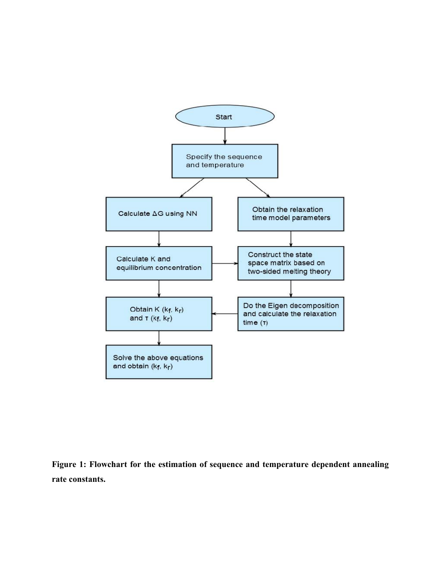

**Figure 1: Flowchart for the estimation of sequence and temperature dependent annealing rate constants.**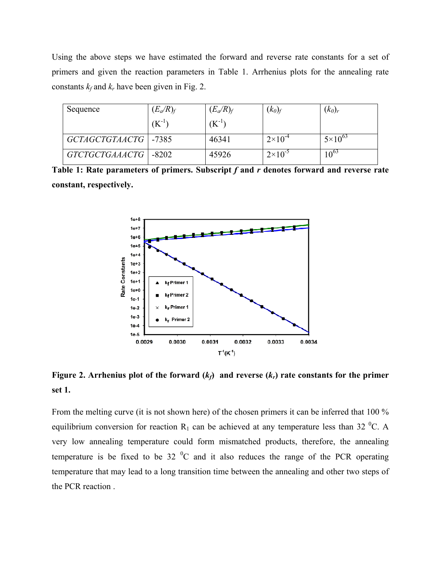Using the above steps we have estimated the forward and reverse rate constants for a set of primers and given the reaction parameters in Table 1. Arrhenius plots for the annealing rate constants  $k_f$  and  $k_r$  have been given in Fig. 2.

| Sequence               | $(E_a/R)_f$ | $(E_a/R)_f$ | $(k_0)_f$          | $(k_0)_r$          |
|------------------------|-------------|-------------|--------------------|--------------------|
|                        | $(K^{-1})$  | $(K^{-1})$  |                    |                    |
| GCTAGCTGTAACTG   -7385 |             | 46341       | $2 \times 10^{-4}$ | $5 \times 10^{63}$ |
| GTCTGCTGAAACTG   -8202 |             | 45926       | $2\times10^{-5}$   | $\mathbf{u}^{03}$  |

Table 1: Rate parameters of primers. Subscript f and r denotes forward and reverse rate **constant, respectively.** 



**Figure 2. Arrhenius plot of the forward**  $(k_f)$  **and reverse**  $(k_f)$  **rate constants for the primer set 1.** 

From the melting curve (it is not shown here) of the chosen primers it can be inferred that 100 % equilibrium conversion for reaction  $R_1$  can be achieved at any temperature less than 32 <sup>o</sup>C. A very low annealing temperature could form mismatched products, therefore, the annealing temperature is be fixed to be  $32\text{ °C}$  and it also reduces the range of the PCR operating temperature that may lead to a long transition time between the annealing and other two steps of the PCR reaction .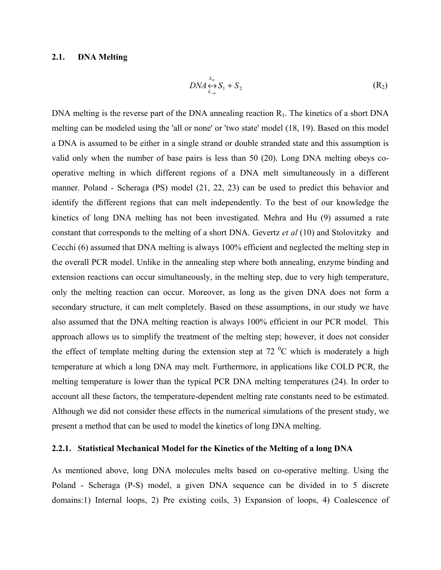### **2.1. DNA Melting**

$$
DNA \underset{k_{-m}}{\leftrightarrow} S_1 + S_2 \tag{R_2}
$$

DNA melting is the reverse part of the DNA annealing reaction  $R_1$ . The kinetics of a short DNA melting can be modeled using the 'all or none' or 'two state' model (18, 19). Based on this model a DNA is assumed to be either in a single strand or double stranded state and this assumption is valid only when the number of base pairs is less than 50 (20). Long DNA melting obeys cooperative melting in which different regions of a DNA melt simultaneously in a different manner. Poland - Scheraga (PS) model (21, 22, 23) can be used to predict this behavior and identify the different regions that can melt independently. To the best of our knowledge the kinetics of long DNA melting has not been investigated. Mehra and Hu (9) assumed a rate constant that corresponds to the melting of a short DNA. Gevertz *et al* (10) and Stolovitzky and Cecchi (6) assumed that DNA melting is always 100% efficient and neglected the melting step in the overall PCR model. Unlike in the annealing step where both annealing, enzyme binding and extension reactions can occur simultaneously, in the melting step, due to very high temperature, only the melting reaction can occur. Moreover, as long as the given DNA does not form a secondary structure, it can melt completely. Based on these assumptions, in our study we have also assumed that the DNA melting reaction is always 100% efficient in our PCR model. This approach allows us to simplify the treatment of the melting step; however, it does not consider the effect of template melting during the extension step at 72  $\rm{^0C}$  which is moderately a high temperature at which a long DNA may melt. Furthermore, in applications like COLD PCR, the melting temperature is lower than the typical PCR DNA melting temperatures (24). In order to account all these factors, the temperature-dependent melting rate constants need to be estimated. Although we did not consider these effects in the numerical simulations of the present study, we present a method that can be used to model the kinetics of long DNA melting.

#### **2.2.1. Statistical Mechanical Model for the Kinetics of the Melting of a long DNA**

As mentioned above, long DNA molecules melts based on co-operative melting. Using the Poland - Scheraga (P-S) model, a given DNA sequence can be divided in to 5 discrete domains:1) Internal loops, 2) Pre existing coils, 3) Expansion of loops, 4) Coalescence of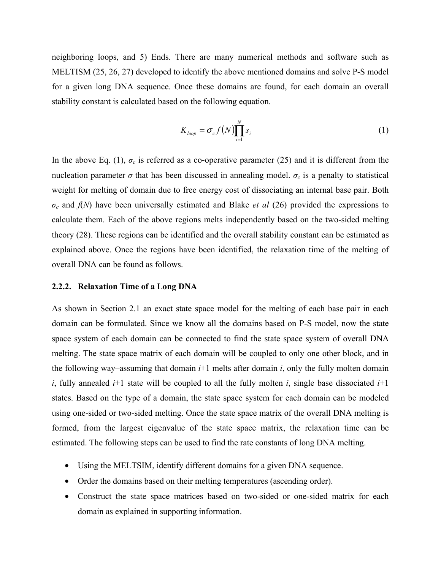neighboring loops, and 5) Ends. There are many numerical methods and software such as MELTISM (25, 26, 27) developed to identify the above mentioned domains and solve P-S model for a given long DNA sequence. Once these domains are found, for each domain an overall stability constant is calculated based on the following equation.

$$
K_{loop} = \sigma_c f(N) \prod_{i=1}^{N} s_i
$$
 (1)

In the above Eq. (1),  $\sigma_c$  is referred as a co-operative parameter (25) and it is different from the nucleation parameter *σ* that has been discussed in annealing model.  $σ<sub>c</sub>$  is a penalty to statistical weight for melting of domain due to free energy cost of dissociating an internal base pair. Both *σc* and *f*(*N*) have been universally estimated and Blake *et al* (26) provided the expressions to calculate them. Each of the above regions melts independently based on the two-sided melting theory (28). These regions can be identified and the overall stability constant can be estimated as explained above. Once the regions have been identified, the relaxation time of the melting of overall DNA can be found as follows.

#### **2.2.2. Relaxation Time of a Long DNA**

As shown in Section 2.1 an exact state space model for the melting of each base pair in each domain can be formulated. Since we know all the domains based on P-S model, now the state space system of each domain can be connected to find the state space system of overall DNA melting. The state space matrix of each domain will be coupled to only one other block, and in the following way–assuming that domain  $i+1$  melts after domain  $i$ , only the fully molten domain *i*, fully annealed *i*+1 state will be coupled to all the fully molten *i*, single base dissociated  $i+1$ states. Based on the type of a domain, the state space system for each domain can be modeled using one-sided or two-sided melting. Once the state space matrix of the overall DNA melting is formed, from the largest eigenvalue of the state space matrix, the relaxation time can be estimated. The following steps can be used to find the rate constants of long DNA melting.

- Using the MELTSIM, identify different domains for a given DNA sequence.
- Order the domains based on their melting temperatures (ascending order).
- Construct the state space matrices based on two-sided or one-sided matrix for each domain as explained in supporting information.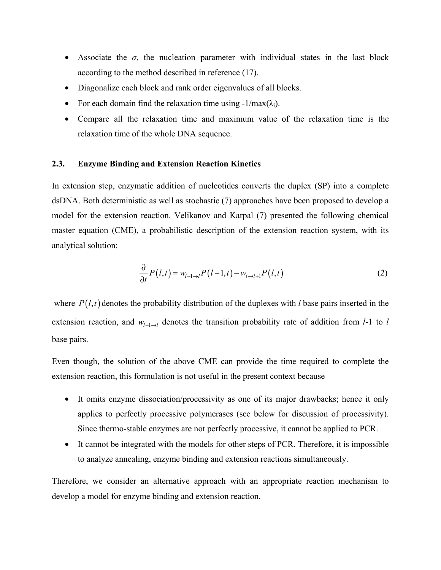- Associate the  $\sigma$ , the nucleation parameter with individual states in the last block according to the method described in reference (17).
- Diagonalize each block and rank order eigenvalues of all blocks.
- For each domain find the relaxation time using  $-1/max(\lambda_i)$ .
- Compare all the relaxation time and maximum value of the relaxation time is the relaxation time of the whole DNA sequence.

### **2.3. Enzyme Binding and Extension Reaction Kinetics**

In extension step, enzymatic addition of nucleotides converts the duplex (SP) into a complete dsDNA. Both deterministic as well as stochastic (7) approaches have been proposed to develop a model for the extension reaction. Velikanov and Karpal (7) presented the following chemical master equation (CME), a probabilistic description of the extension reaction system, with its analytical solution:

$$
\frac{\partial}{\partial t}P(l,t) = w_{l-1\to l}P(l-1,t) - w_{l\to l+1}P(l,t)
$$
\n(2)

where  $P(l,t)$  denotes the probability distribution of the duplexes with *l* base pairs inserted in the extension reaction, and *w*<sub>*l*-*l*→*l*</sub> denotes the transition probability rate of addition from *l*-1 to *l* base pairs.

Even though, the solution of the above CME can provide the time required to complete the extension reaction, this formulation is not useful in the present context because

- It omits enzyme dissociation/processivity as one of its major drawbacks; hence it only applies to perfectly processive polymerases (see below for discussion of processivity). Since thermo-stable enzymes are not perfectly processive, it cannot be applied to PCR.
- It cannot be integrated with the models for other steps of PCR. Therefore, it is impossible to analyze annealing, enzyme binding and extension reactions simultaneously.

Therefore, we consider an alternative approach with an appropriate reaction mechanism to develop a model for enzyme binding and extension reaction.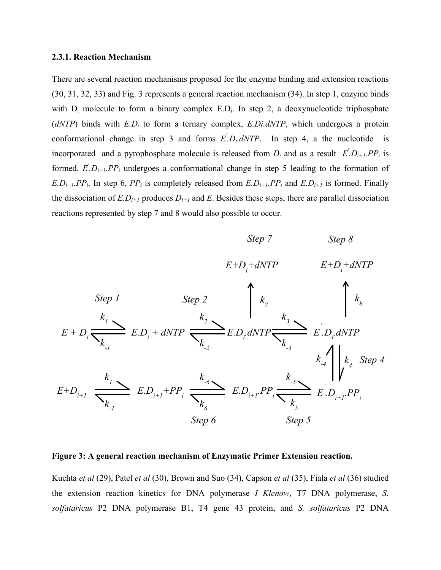#### **2.3.1. Reaction Mechanism**

There are several reaction mechanisms proposed for the enzyme binding and extension reactions (30, 31, 32, 33) and Fig. 3 represents a general reaction mechanism (34). In step 1, enzyme binds with  $D_i$  molecule to form a binary complex  $E.D_i$ . In step 2, a deoxynucleotide triphosphate  $(dNTP)$  binds with  $E.D<sub>i</sub>$  to form a ternary complex,  $E.Di.dNTP$ , which undergoes a protein conformational change in step 3 and forms  $E' \cdot D_i$ . *dNTP*. In step 4, a the nucleotide is incorporated and a pyrophosphate molecule is released from  $D_i$  and as a result  $E'_i D_{i+1} P P_i$  is formed.  $E' \cdot D_{i+1} \cdot PP_i$  undergoes a conformational change in step 5 leading to the formation of  $E.D_{i+1}.PP_i$ . In step 6,  $PP_i$  is completely released from  $E.D_{i+1}.PP_i$  and  $E.D_{i+1}$  is formed. Finally the dissociation of  $E.D_{i+1}$  produces  $D_{i+1}$  and  $E$ . Besides these steps, there are parallel dissociation reactions represented by step 7 and 8 would also possible to occur.



#### **Figure 3: A general reaction mechanism of Enzymatic Primer Extension reaction.**

Kuchta *et al* (29), Patel *et al* (30), Brown and Suo (34), Capson *et al* (35), Fiala *et al* (36) studied the extension reaction kinetics for DNA polymerase *I Klenow*, T7 DNA polymerase, *S. solfataricus* P2 DNA polymerase B1, T4 gene 43 protein, and *S. solfataricus* P2 DNA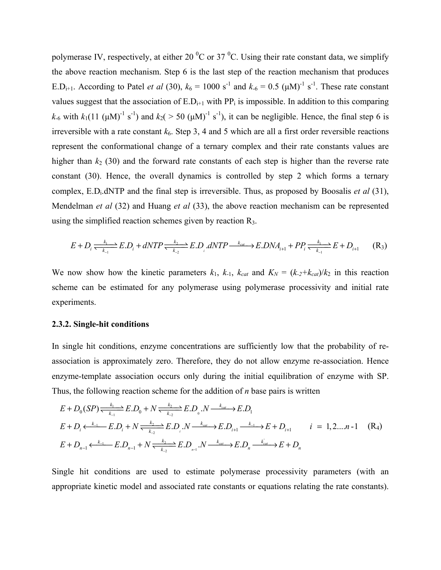polymerase IV, respectively, at either 20  $^{0}$ C or 37  $^{0}$ C. Using their rate constant data, we simplify the above reaction mechanism. Step 6 is the last step of the reaction mechanism that produces E.D<sub>i+1</sub>. According to Patel *et al* (30),  $k_6 = 1000 \text{ s}^{-1}$  and  $k_{-6} = 0.5 \text{ (µM)}^{-1} \text{ s}^{-1}$ . These rate constant values suggest that the association of  $E.D_{i+1}$  with  $PP_i$  is impossible. In addition to this comparing  $k_6$  with  $k_1(11 \text{ (µM)}^{-1} \text{ s}^{-1})$  and  $k_2($  > 50 ( $\mu$ M)<sup>-1</sup> s<sup>-1</sup>), it can be negligible. Hence, the final step 6 is irreversible with a rate constant  $k<sub>6</sub>$ . Step 3, 4 and 5 which are all a first order reversible reactions represent the conformational change of a ternary complex and their rate constants values are higher than  $k_2$  (30) and the forward rate constants of each step is higher than the reverse rate constant (30). Hence, the overall dynamics is controlled by step 2 which forms a ternary complex, E.Di.dNTP and the final step is irreversible. Thus, as proposed by Boosalis *et al* (31), Mendelman *et al* (32) and Huang *et al* (33), the above reaction mechanism can be represented using the simplified reaction schemes given by reaction R3.

$$
E + D_i \xrightarrow[k_1 \to k_1]{} E.D_i + dNTP \xrightarrow[k_2 \to k_2]{} E.D_i \cdot dNTP \xrightarrow[k_{cat} \to E.DNA_{i+1}]{} P.P_i \xrightarrow[k_1 \to k_1]{} E + D_{i+1} \qquad (R_3)
$$

We now show how the kinetic parameters  $k_1$ ,  $k_{-1}$ ,  $k_{cat}$  and  $K_N = (k_{-2}+k_{cat})/k_2$  in this reaction scheme can be estimated for any polymerase using polymerase processivity and initial rate experiments.

#### **2.3.2. Single-hit conditions**

In single hit conditions, enzyme concentrations are sufficiently low that the probability of reassociation is approximately zero. Therefore, they do not allow enzyme re-association. Hence enzyme-template association occurs only during the initial equilibration of enzyme with SP. Thus, the following reaction scheme for the addition of *n* base pairs is written

$$
E + D_0 (SP) \xrightarrow[k_{-1}]{k_1} E.D_0 + N \xrightarrow[k_{-2}]{k_2} E.D_0.N \xrightarrow[k_{cat}]{k_{cat}} E.D_1
$$
  
\n
$$
E + D_i \xrightarrow[k_{-1}]{k_1} E.D_i + N \xrightarrow[k_{-2}]{k_2} E.D_i.N \xrightarrow[k_{cat}]{k_{cat}} E.D_{i+1} \xrightarrow[k_{-1}]{k_1} E + D_{i+1} \qquad i = 1, 2...n-1 \quad (R_4)
$$
  
\n
$$
E + D_{n-1} \xrightarrow[k_{-1}]{k_1} E.D_{n-1} + N \xrightarrow[k_{-2}]{k_2} E.D_{n-1}.N \xrightarrow[k_{cat}]{k_{cat}} E.D_n \xrightarrow[k_{cat}]{k_{cat}} E + D_n
$$

Single hit conditions are used to estimate polymerase processivity parameters (with an appropriate kinetic model and associated rate constants or equations relating the rate constants).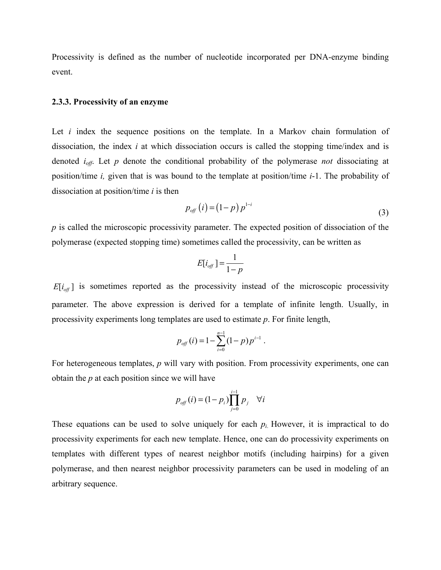Processivity is defined as the number of nucleotide incorporated per DNA-enzyme binding event.

#### **2.3.3. Processivity of an enzyme**

Let *i* index the sequence positions on the template. In a Markov chain formulation of dissociation, the index *i* at which dissociation occurs is called the stopping time/index and is denoted *ioff*. Let *p* denote the conditional probability of the polymerase *not* dissociating at position/time *i,* given that is was bound to the template at position/time *i*-1. The probability of dissociation at position/time *i* is then

$$
p_{\text{off}}(i) = (1-p) p^{1-i} \tag{3}
$$

*p* is called the microscopic processivity parameter. The expected position of dissociation of the polymerase (expected stopping time) sometimes called the processivity, can be written as

$$
E[i_{\text{off}}] = \frac{1}{1-p}
$$

 $E[i_{\text{off}}]$  is sometimes reported as the processivity instead of the microscopic processivity parameter. The above expression is derived for a template of infinite length. Usually, in processivity experiments long templates are used to estimate *p*. For finite length,

$$
p_{\text{off}}(i) = 1 - \sum_{i=0}^{n-1} (1-p) p^{i-1}.
$$

For heterogeneous templates, *p* will vary with position. From processivity experiments, one can obtain the *p* at each position since we will have

$$
p_{\text{off}}(i) = (1 - p_i) \prod_{j=0}^{i-1} p_j \quad \forall i
$$

These equations can be used to solve uniquely for each  $p_i$ . However, it is impractical to do processivity experiments for each new template. Hence, one can do processivity experiments on templates with different types of nearest neighbor motifs (including hairpins) for a given polymerase, and then nearest neighbor processivity parameters can be used in modeling of an arbitrary sequence.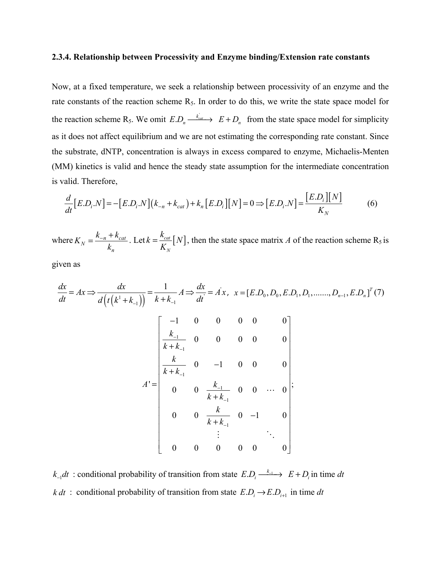#### **2.3.4. Relationship between Processivity and Enzyme binding/Extension rate constants**

Now, at a fixed temperature, we seek a relationship between processivity of an enzyme and the rate constants of the reaction scheme  $R_5$ . In order to do this, we write the state space model for the reaction scheme R<sub>5</sub>. We omit  $E.D_n \xrightarrow{k_{cat}} E+D_n$  from the state space model for simplicity as it does not affect equilibrium and we are not estimating the corresponding rate constant. Since the substrate, dNTP, concentration is always in excess compared to enzyme, Michaelis-Menten (MM) kinetics is valid and hence the steady state assumption for the intermediate concentration is valid. Therefore,

$$
\frac{d}{dt}\big[E.D_i.N\big] = -\big[E.D_i.N\big]\big(k_{-n} + k_{cat}\big) + k_n\big[E.D_i\big]\big[N\big] = 0 \Longrightarrow \big[E.D_i.N\big] = \frac{\big[E.D_i\big]\big[N\big]}{K_N} \tag{6}
$$

where  $K_N = \frac{K_{-n} + K_{cat}}{L}$ *n*  $K_N = \frac{k_{-n} + k}{l}$ *k*  $=\frac{k_{-n}+k_{cat}}{l}$ . Let  $k=\frac{k_{cat}}{K}[N]$ *N*  $k = \frac{k_{cat}}{N}$   $N$  $=\frac{N_{cat}}{K_N}$  [N], then the state space matrix *A* of the reaction scheme R<sub>5</sub> is

given as

$$
\frac{dx}{dt} = Ax \Rightarrow \frac{dx}{d(t(k^1 + k_{-1}))} = \frac{1}{k + k_{-1}} A \Rightarrow \frac{dx}{dt} = Ax, \quad x = [E.D_0, D_0, E.D_1, D_1, \dots, D_{n-1}, E.D_n]^T (7)
$$
\n
$$
\begin{bmatrix}\n-1 & 0 & 0 & 0 & 0 & 0 \\
\frac{k_{-1}}{k + k_{-1}} & 0 & 0 & 0 & 0 & 0 \\
\frac{k}{k + k_{-1}} & 0 & -1 & 0 & 0 & 0 \\
0 & 0 & \frac{k_{-1}}{k + k_{-1}} & 0 & 0 & \dots & 0 \\
0 & 0 & \frac{k}{k + k_{-1}} & 0 & -1 & 0 \\
\vdots & \vdots & \vdots & \ddots & \vdots \\
0 & 0 & 0 & 0 & 0 & 0\n\end{bmatrix};
$$

 $k_{-1}dt$  : conditional probability of transition from state  $E.D_i \xrightarrow{k_{-1}} E + D_i$  in time *dt k dt* : conditional probability of transition from state  $E.D_i \rightarrow E.D_{i+1}$  in time *dt*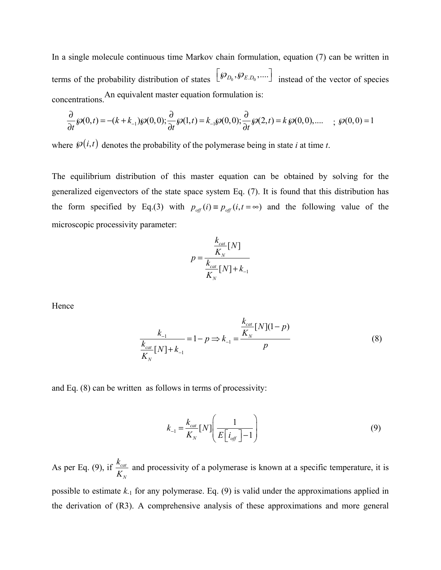In a single molecule continuous time Markov chain formulation, equation (7) can be written in terms of the probability distribution of states  $\left[\mathcal{P}_{D_0}, \mathcal{P}_{E,D_0}, \dots\right]$  instead of the vector of species concentrations.An equivalent master equation formulation is:

$$
\frac{\partial}{\partial t}\wp(0,t) = -(k + k_{-1})\wp(0,0); \frac{\partial}{\partial t}\wp(1,t) = k_{-1}\wp(0,0); \frac{\partial}{\partial t}\wp(2,t) = k\wp(0,0), \dots \quad ; \wp(0,0) = 1
$$

where  $\mathcal{P}(i, t)$  denotes the probability of the polymerase being in state *i* at time *t*.

The equilibrium distribution of this master equation can be obtained by solving for the generalized eigenvectors of the state space system Eq. (7). It is found that this distribution has the form specified by Eq.(3) with  $p_{\text{off}}(i) = p_{\text{off}}(i, t = \infty)$  and the following value of the microscopic processivity parameter:

$$
p = \frac{\frac{k_{cat}}{K_N}[N]}{\frac{k_{cat}}{K_N}[N]+k_{-1}}
$$

Hence

$$
\frac{k_{-1}}{K_N} = 1 - p \Rightarrow k_{-1} = \frac{\frac{k_{cat}}{K_N} [N](1 - p)}{p}
$$
(8)

and Eq. (8) can be written as follows in terms of processivity:

$$
k_{-1} = \frac{k_{cat}}{K_N} [N] \left( \frac{1}{E \left[ i_{off} \right] - 1} \right)
$$
 (9)

As per Eq. (9), if  $\frac{N_{cat}}{N}$ *N*  $\frac{k_{cat}}{K_N}$  and processivity of a polymerase is known at a specific temperature, it is possible to estimate  $k_1$  for any polymerase. Eq. (9) is valid under the approximations applied in the derivation of (R3). A comprehensive analysis of these approximations and more general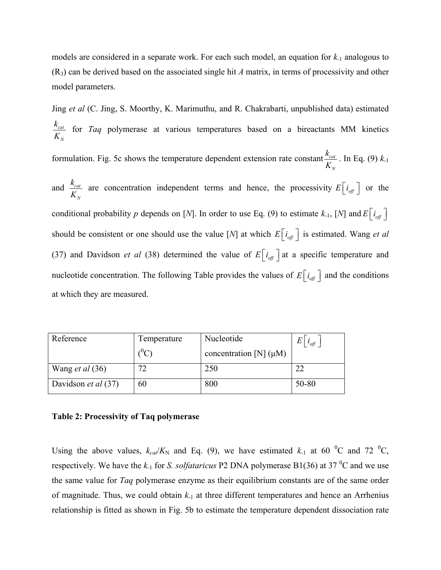models are considered in a separate work. For each such model, an equation for *k*-1 analogous to (R3) can be derived based on the associated single hit *A* matrix, in terms of processivity and other model parameters.

Jing *et al* (C. Jing, S. Moorthy, K. Marimuthu, and R. Chakrabarti, unpublished data) estimated *cat N k K* for *Taq* polymerase at various temperatures based on a bireactants MM kinetics formulation. Fig. 5c shows the temperature dependent extension rate constant  $\frac{r_{cat}}{r}$ *N*  $\frac{k_{cat}}{K_{_N}}$ . In Eq. (9)  $k_{\text{-}1}$ and  $\frac{R_{cat}}{I}$ *N*  $\frac{k_{cat}}{K_N}$  are concentration independent terms and hence, the processivity  $E[i_{off}]$  or the conditional probability *p* depends on [*N*]. In order to use Eq. (9) to estimate  $k_{-1}$ , [*N*] and  $E\left[i_{\text{off}}\right]$ should be consistent or one should use the value [*N*] at which  $E[i_{\text{eff}}]$  is estimated. Wang *et al* (37) and Davidson *et al* (38) determined the value of  $E[i_{\text{off}}]$  at a specific temperature and nucleotide concentration. The following Table provides the values of  $E[i_{\text{eff}}]$  and the conditions at which they are measured.

| Reference                  | Temperature<br>$^{0}C_{1}$ | Nucleotide<br>concentration [N] $(\mu M)$ | E<br>$i_{\text{off}}$ |
|----------------------------|----------------------------|-------------------------------------------|-----------------------|
| Wang <i>et al</i> $(36)$   | 72                         | 250                                       |                       |
| Davidson <i>et al</i> (37) | 60                         | 800                                       | 50-80                 |

#### **Table 2: Processivity of Taq polymerase**

Using the above values,  $k_{ca}/K_N$  and Eq. (9), we have estimated  $k_A$  at 60 <sup>o</sup>C and 72 <sup>o</sup>C, respectively. We have the  $k_1$  for *S. solfataricus* P2 DNA polymerase B1(36) at 37<sup>°</sup>C and we use the same value for *Taq* polymerase enzyme as their equilibrium constants are of the same order of magnitude. Thus, we could obtain *k*-1 at three different temperatures and hence an Arrhenius relationship is fitted as shown in Fig. 5b to estimate the temperature dependent dissociation rate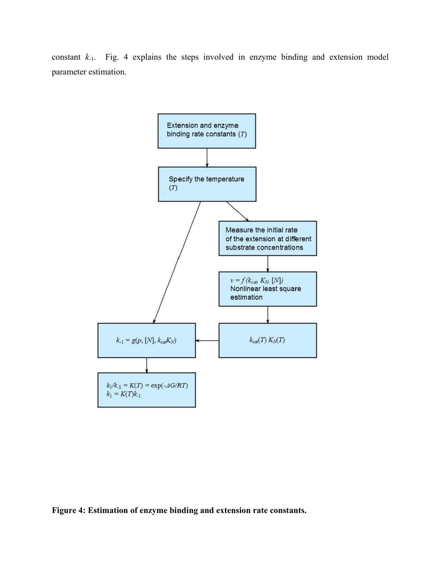constant *k*-1. Fig. 4 explains the steps involved in enzyme binding and extension model parameter estimation.



**Figure 4: Estimation of enzyme binding and extension rate constants.**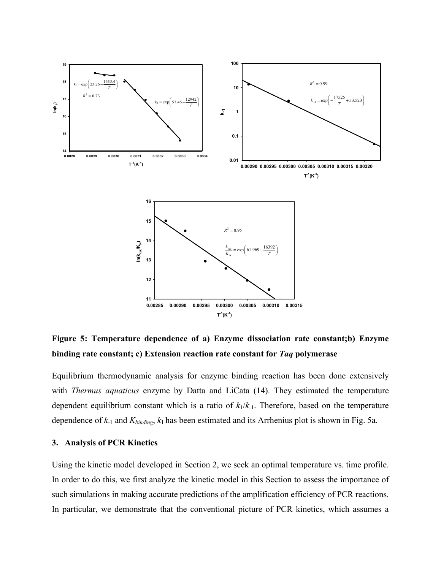

**Figure 5: Temperature dependence of a) Enzyme dissociation rate constant;b) Enzyme binding rate constant; c) Extension reaction rate constant for** *Taq* **polymerase**

Equilibrium thermodynamic analysis for enzyme binding reaction has been done extensively with *Thermus aquaticus* enzyme by Datta and LiCata (14). They estimated the temperature dependent equilibrium constant which is a ratio of  $k_1/k_1$ . Therefore, based on the temperature dependence of *k*-1 and *Kbinding*, *k*<sup>1</sup> has been estimated and its Arrhenius plot is shown in Fig. 5a.

### **3. Analysis of PCR Kinetics**

Using the kinetic model developed in Section 2, we seek an optimal temperature vs. time profile. In order to do this, we first analyze the kinetic model in this Section to assess the importance of such simulations in making accurate predictions of the amplification efficiency of PCR reactions. In particular, we demonstrate that the conventional picture of PCR kinetics, which assumes a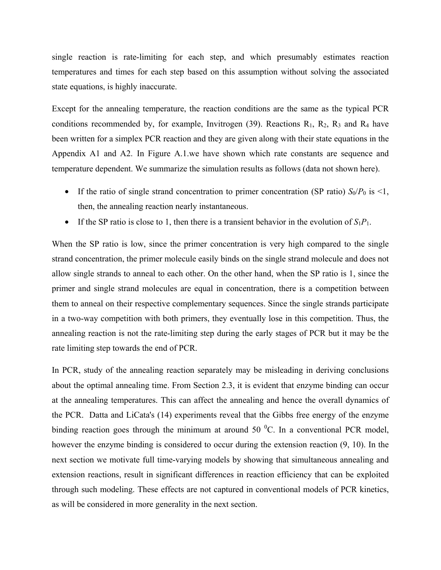single reaction is rate-limiting for each step, and which presumably estimates reaction temperatures and times for each step based on this assumption without solving the associated state equations, is highly inaccurate.

Except for the annealing temperature, the reaction conditions are the same as the typical PCR conditions recommended by, for example, Invitrogen (39). Reactions  $R_1$ ,  $R_2$ ,  $R_3$  and  $R_4$  have been written for a simplex PCR reaction and they are given along with their state equations in the Appendix A1 and A2. In Figure A.1.we have shown which rate constants are sequence and temperature dependent. We summarize the simulation results as follows (data not shown here).

- If the ratio of single strand concentration to primer concentration (SP ratio)  $S_0/P_0$  is <1, then, the annealing reaction nearly instantaneous.
- If the SP ratio is close to 1, then there is a transient behavior in the evolution of  $S_1P_1$ .

When the SP ratio is low, since the primer concentration is very high compared to the single strand concentration, the primer molecule easily binds on the single strand molecule and does not allow single strands to anneal to each other. On the other hand, when the SP ratio is 1, since the primer and single strand molecules are equal in concentration, there is a competition between them to anneal on their respective complementary sequences. Since the single strands participate in a two-way competition with both primers, they eventually lose in this competition. Thus, the annealing reaction is not the rate-limiting step during the early stages of PCR but it may be the rate limiting step towards the end of PCR.

In PCR, study of the annealing reaction separately may be misleading in deriving conclusions about the optimal annealing time. From Section 2.3, it is evident that enzyme binding can occur at the annealing temperatures. This can affect the annealing and hence the overall dynamics of the PCR. Datta and LiCata's (14) experiments reveal that the Gibbs free energy of the enzyme binding reaction goes through the minimum at around 50  $^{\circ}$ C. In a conventional PCR model, however the enzyme binding is considered to occur during the extension reaction (9, 10). In the next section we motivate full time-varying models by showing that simultaneous annealing and extension reactions, result in significant differences in reaction efficiency that can be exploited through such modeling. These effects are not captured in conventional models of PCR kinetics, as will be considered in more generality in the next section.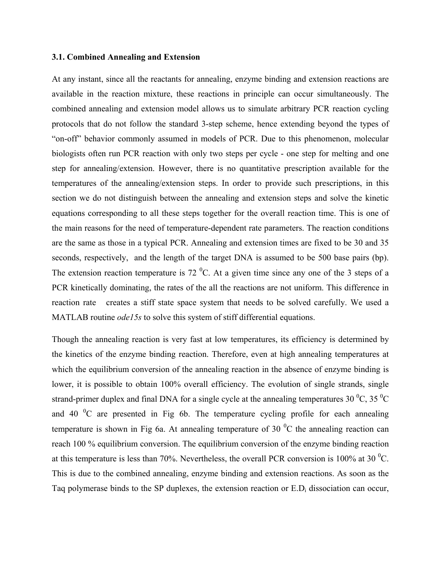### **3.1. Combined Annealing and Extension**

At any instant, since all the reactants for annealing, enzyme binding and extension reactions are available in the reaction mixture, these reactions in principle can occur simultaneously. The combined annealing and extension model allows us to simulate arbitrary PCR reaction cycling protocols that do not follow the standard 3-step scheme, hence extending beyond the types of "on-off" behavior commonly assumed in models of PCR. Due to this phenomenon, molecular biologists often run PCR reaction with only two steps per cycle - one step for melting and one step for annealing/extension. However, there is no quantitative prescription available for the temperatures of the annealing/extension steps. In order to provide such prescriptions, in this section we do not distinguish between the annealing and extension steps and solve the kinetic equations corresponding to all these steps together for the overall reaction time. This is one of the main reasons for the need of temperature-dependent rate parameters. The reaction conditions are the same as those in a typical PCR. Annealing and extension times are fixed to be 30 and 35 seconds, respectively, and the length of the target DNA is assumed to be 500 base pairs (bp). The extension reaction temperature is 72  $^0C$ . At a given time since any one of the 3 steps of a PCR kinetically dominating, the rates of the all the reactions are not uniform. This difference in reaction rate creates a stiff state space system that needs to be solved carefully. We used a MATLAB routine *ode15s* to solve this system of stiff differential equations.

Though the annealing reaction is very fast at low temperatures, its efficiency is determined by the kinetics of the enzyme binding reaction. Therefore, even at high annealing temperatures at which the equilibrium conversion of the annealing reaction in the absence of enzyme binding is lower, it is possible to obtain 100% overall efficiency. The evolution of single strands, single strand-primer duplex and final DNA for a single cycle at the annealing temperatures 30  $\rm{^0C}$ , 35  $\rm{^0C}$ and 40  ${}^{0}C$  are presented in Fig 6b. The temperature cycling profile for each annealing temperature is shown in Fig 6a. At annealing temperature of 30  $\mathrm{^{0}C}$  the annealing reaction can reach 100 % equilibrium conversion. The equilibrium conversion of the enzyme binding reaction at this temperature is less than 70%. Nevertheless, the overall PCR conversion is 100% at 30  $^0C$ . This is due to the combined annealing, enzyme binding and extension reactions. As soon as the Taq polymerase binds to the SP duplexes, the extension reaction or  $E.D<sub>i</sub>$  dissociation can occur,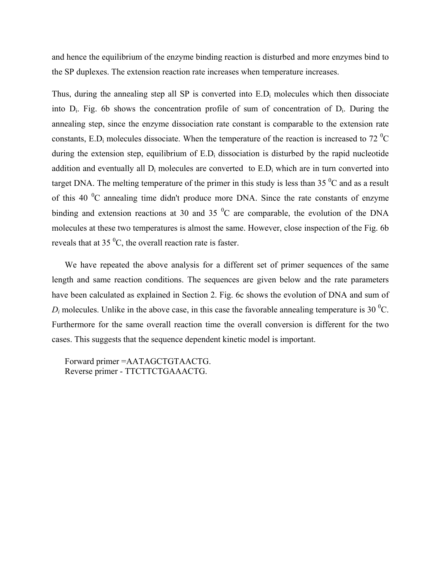and hence the equilibrium of the enzyme binding reaction is disturbed and more enzymes bind to the SP duplexes. The extension reaction rate increases when temperature increases.

Thus, during the annealing step all SP is converted into  $E.D<sub>i</sub>$  molecules which then dissociate into Di. Fig. 6b shows the concentration profile of sum of concentration of Di. During the annealing step, since the enzyme dissociation rate constant is comparable to the extension rate constants, E.D<sub>i</sub> molecules dissociate. When the temperature of the reaction is increased to 72 <sup>o</sup>C during the extension step, equilibrium of  $E.D<sub>i</sub>$  dissociation is disturbed by the rapid nucleotide addition and eventually all  $D_i$  molecules are converted to  $E.D_i$  which are in turn converted into target DNA. The melting temperature of the primer in this study is less than 35  $\mathrm{^{0}C}$  and as a result of this 40  $\rm{^0C}$  annealing time didn't produce more DNA. Since the rate constants of enzyme binding and extension reactions at 30 and 35  $\mathrm{^0C}$  are comparable, the evolution of the DNA molecules at these two temperatures is almost the same. However, close inspection of the Fig. 6b reveals that at 35 $\mathrm{^0C}$ , the overall reaction rate is faster.

We have repeated the above analysis for a different set of primer sequences of the same length and same reaction conditions. The sequences are given below and the rate parameters have been calculated as explained in Section 2. Fig. 6c shows the evolution of DNA and sum of  $D_i$  molecules. Unlike in the above case, in this case the favorable annealing temperature is 30 <sup>0</sup>C. Furthermore for the same overall reaction time the overall conversion is different for the two cases. This suggests that the sequence dependent kinetic model is important.

Forward primer =AATAGCTGTAACTG. Reverse primer - TTCTTCTGAAACTG.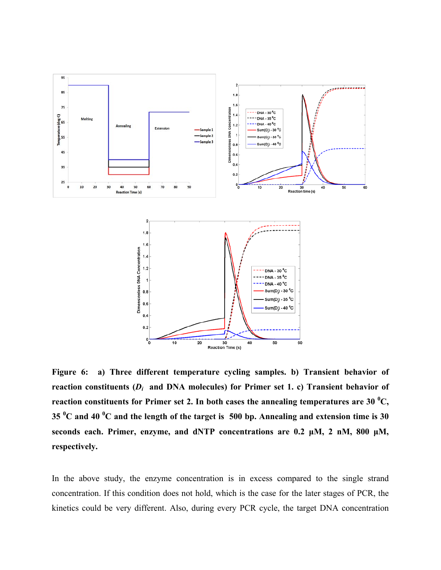

**Figure 6: a) Three different temperature cycling samples. b) Transient behavior of reaction constituents (***Di* **and DNA molecules) for Primer set 1. c) Transient behavior of reaction constituents for Primer set 2. In both cases the annealing temperatures are 30**  $^0C$ **, 35 <sup>0</sup> C and 40 <sup>0</sup> C and the length of the target is 500 bp. Annealing and extension time is 30 seconds each. Primer, enzyme, and dNTP concentrations are 0.2 μM, 2 nM, 800 μM, respectively.** 

In the above study, the enzyme concentration is in excess compared to the single strand concentration. If this condition does not hold, which is the case for the later stages of PCR, the kinetics could be very different. Also, during every PCR cycle, the target DNA concentration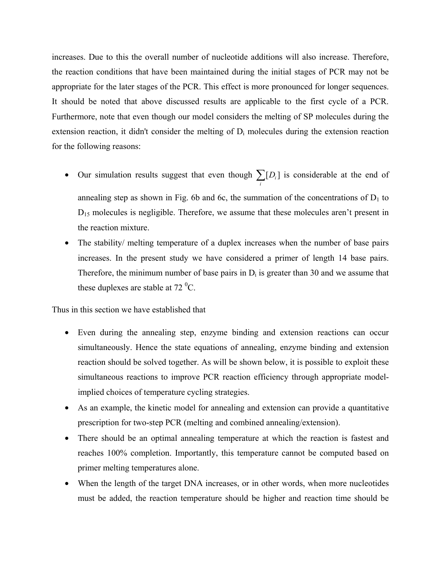increases. Due to this the overall number of nucleotide additions will also increase. Therefore, the reaction conditions that have been maintained during the initial stages of PCR may not be appropriate for the later stages of the PCR. This effect is more pronounced for longer sequences. It should be noted that above discussed results are applicable to the first cycle of a PCR. Furthermore, note that even though our model considers the melting of SP molecules during the extension reaction, it didn't consider the melting of  $D_i$  molecules during the extension reaction for the following reasons:

- Our simulation results suggest that even though  $\sum [D_i]$  $\sum_i [D_i]$  is considerable at the end of annealing step as shown in Fig. 6b and 6c, the summation of the concentrations of  $D_1$  to  $D_{15}$  molecules is negligible. Therefore, we assume that these molecules aren't present in the reaction mixture.
- The stability/ melting temperature of a duplex increases when the number of base pairs increases. In the present study we have considered a primer of length 14 base pairs. Therefore, the minimum number of base pairs in  $D_i$  is greater than 30 and we assume that these duplexes are stable at  $72 \text{ }^0C$ .

Thus in this section we have established that

- Even during the annealing step, enzyme binding and extension reactions can occur simultaneously. Hence the state equations of annealing, enzyme binding and extension reaction should be solved together. As will be shown below, it is possible to exploit these simultaneous reactions to improve PCR reaction efficiency through appropriate modelimplied choices of temperature cycling strategies.
- As an example, the kinetic model for annealing and extension can provide a quantitative prescription for two-step PCR (melting and combined annealing/extension).
- There should be an optimal annealing temperature at which the reaction is fastest and reaches 100% completion. Importantly, this temperature cannot be computed based on primer melting temperatures alone.
- When the length of the target DNA increases, or in other words, when more nucleotides must be added, the reaction temperature should be higher and reaction time should be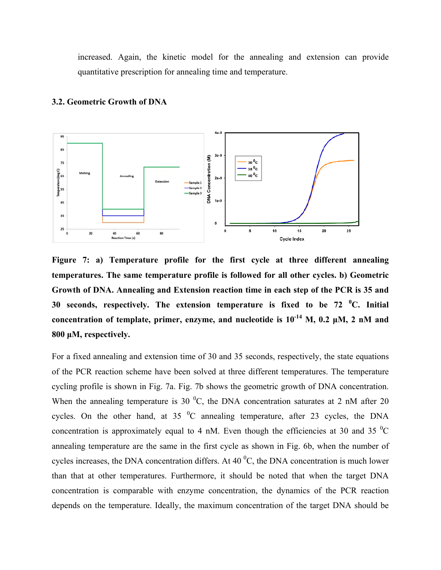increased. Again, the kinetic model for the annealing and extension can provide quantitative prescription for annealing time and temperature.



#### **3.2. Geometric Growth of DNA**

**Figure 7: a) Temperature profile for the first cycle at three different annealing temperatures. The same temperature profile is followed for all other cycles. b) Geometric Growth of DNA. Annealing and Extension reaction time in each step of the PCR is 35 and 30 seconds, respectively. The extension temperature is fixed to be 72 <sup>0</sup> C. Initial concentration of template, primer, enzyme, and nucleotide is**  $10^{-14}$  **M, 0.2**  $\mu$ **M, 2 nM and 800 μM, respectively.**

For a fixed annealing and extension time of 30 and 35 seconds, respectively, the state equations of the PCR reaction scheme have been solved at three different temperatures. The temperature cycling profile is shown in Fig. 7a. Fig. 7b shows the geometric growth of DNA concentration. When the annealing temperature is 30  $^{\circ}$ C, the DNA concentration saturates at 2 nM after 20 cycles. On the other hand, at  $35\text{ °C}$  annealing temperature, after 23 cycles, the DNA concentration is approximately equal to 4 nM. Even though the efficiencies at 30 and 35  $^{\circ}$ C annealing temperature are the same in the first cycle as shown in Fig. 6b, when the number of cycles increases, the DNA concentration differs. At 40  $^{\circ}$ C, the DNA concentration is much lower than that at other temperatures. Furthermore, it should be noted that when the target DNA concentration is comparable with enzyme concentration, the dynamics of the PCR reaction depends on the temperature. Ideally, the maximum concentration of the target DNA should be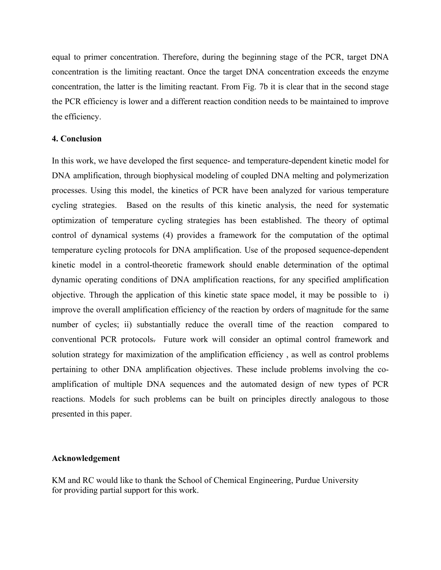equal to primer concentration. Therefore, during the beginning stage of the PCR, target DNA concentration is the limiting reactant. Once the target DNA concentration exceeds the enzyme concentration, the latter is the limiting reactant. From Fig. 7b it is clear that in the second stage the PCR efficiency is lower and a different reaction condition needs to be maintained to improve the efficiency.

### **4. Conclusion**

In this work, we have developed the first sequence- and temperature-dependent kinetic model for DNA amplification, through biophysical modeling of coupled DNA melting and polymerization processes. Using this model, the kinetics of PCR have been analyzed for various temperature cycling strategies. Based on the results of this kinetic analysis, the need for systematic optimization of temperature cycling strategies has been established. The theory of optimal control of dynamical systems (4) provides a framework for the computation of the optimal temperature cycling protocols for DNA amplification. Use of the proposed sequence-dependent kinetic model in a control-theoretic framework should enable determination of the optimal dynamic operating conditions of DNA amplification reactions, for any specified amplification objective. Through the application of this kinetic state space model, it may be possible to i) improve the overall amplification efficiency of the reaction by orders of magnitude for the same number of cycles; ii) substantially reduce the overall time of the reaction compared to conventional PCR protocols. Future work will consider an optimal control framework and solution strategy for maximization of the amplification efficiency , as well as control problems pertaining to other DNA amplification objectives. These include problems involving the coamplification of multiple DNA sequences and the automated design of new types of PCR reactions. Models for such problems can be built on principles directly analogous to those presented in this paper.

#### **Acknowledgement**

KM and RC would like to thank the School of Chemical Engineering, Purdue University for providing partial support for this work.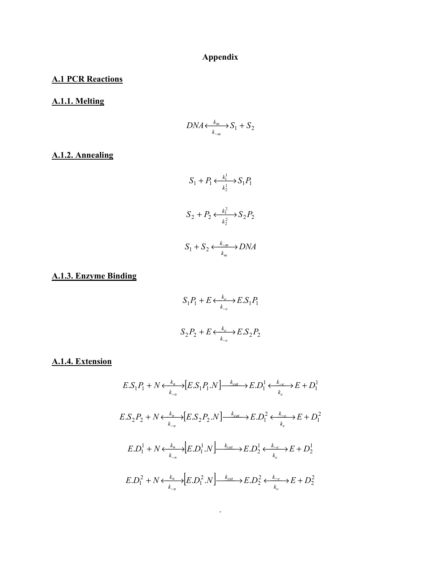# **Appendix**

# **A.1 PCR Reactions**

# **A.1.1. Melting**

$$
DNA \xleftarrow[k_{-m}]{k_m} S_1 + S_2
$$

# **A.1.2. Annealing**

$$
S_1 + P_1 \xleftarrow[k_1^1]{} S_1 P_1
$$
\n
$$
S_2 + P_2 \xleftarrow[k_2^2]{} S_2 P_2
$$
\n
$$
S_1 + S_2 \xleftarrow[k_m]{} DNA
$$

# **A.1.3. Enzyme Binding**

$$
S_1 P_1 + E \xleftarrow[k_{\neq}]{k_e} E.S_1 P_1
$$
  

$$
S_2 P_2 + E \xleftarrow[k_{\neq}]{k_e} E.S_2 P_2
$$

# **A.1.4. Extension**

$$
E.S_1P_1 + N \xleftarrow{k_n} [E.S_1P_1.N] \xrightarrow{k_{cat}} E.D_1^1 \xleftarrow{k_{-e}} E + D_1^1
$$
  
\n
$$
E.S_2P_2 + N \xleftarrow{k_n} [E.S_2P_2.N] \xrightarrow{k_{cat}} E.D_1^2 \xleftarrow{k_{-e}} E + D_1^2
$$
  
\n
$$
E.D_1^1 + N \xleftarrow{k_n} [E.D_1^1.N] \xrightarrow{k_{cat}} E.D_2^1 \xleftarrow{k_{-e}} E + D_2^1
$$
  
\n
$$
E.D_1^2 + N \xleftarrow{k_n} [E.D_1^2.N] \xleftarrow{k_{cat}} E.D_2^2 \xleftarrow{k_{-e}} E + D_2^1
$$
  
\n
$$
E.D_1^2 + N \xleftarrow{k_n} [E.D_1^2.N] \xleftarrow{k_{cat}} E.D_2^2 \xleftarrow{k_{-e}} E + D_2^2
$$

.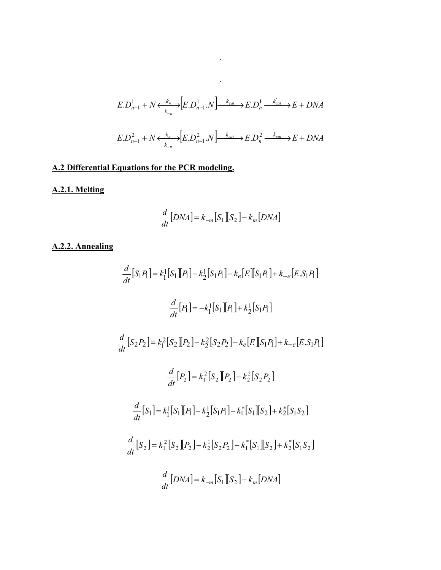$$
E.D_{n-1}^1 + N \xleftarrow[k_{-n}]{k_n} [E.D_{n-1}^1.N] \xrightarrow{k_{cat}} E.D_n^1 \xrightarrow{k_{cat}} E + DNA
$$
  

$$
E.D_{n-1}^2 + N \xleftarrow{k_n} [E.D_{n-1}^2.N] \xrightarrow{k_{cat}} E.D_n^2 \xrightarrow{k_{cat}} E + DNA
$$

 $\mathcal{L}^{\mathcal{L}}(\mathcal{L}^{\mathcal{L}})$  . The contribution of  $\mathcal{L}^{\mathcal{L}}(\mathcal{L}^{\mathcal{L}})$ 

. The second  $\mathcal{L}_\text{c}$  and  $\mathcal{L}_\text{c}$ 

# **A.2 Differential Equations for the PCR modeling.**

# **A.2.1. Melting**

$$
\frac{d}{dt}[DNA] = k_{-m}[S_1][S_2] - k_m[DNA]
$$

# **A.2.2. Annealing**

$$
\frac{d}{dt}[S_1P_1] = k_1^1[S_1][P_1] - k_2^1[S_1P_1] - k_e[E][S_1P_1] + k_{-e}[E.S_1P_1]
$$
\n
$$
\frac{d}{dt}[P_1] = -k_1^1[S_1][P_1] + k_2^1[S_1P_1]
$$
\n
$$
\frac{d}{dt}[S_2P_2] = k_1^2[S_2][P_2] - k_2^2[S_2P_2] - k_e[E][S_1P_1] + k_{-e}[E.S_1P_1]
$$
\n
$$
\frac{d}{dt}[P_2] = k_1^2[S_2][P_2] - k_2^2[S_2P_2]
$$
\n
$$
\frac{d}{dt}[S_1] = k_1^1[S_1][P_1] - k_2^1[S_1P_1] - k_1^*[S_1][S_2] + k_2^*[S_1S_2]
$$
\n
$$
\frac{d}{dt}[S_2] = k_1^2[S_2][P_2] - k_2^1[S_2P_2] - k_1^*[S_1][S_2] + k_2^*[S_1S_2]
$$
\n
$$
\frac{d}{dt}[DNA] = k_{-m}[S_1][S_2] - k_m[DNA]
$$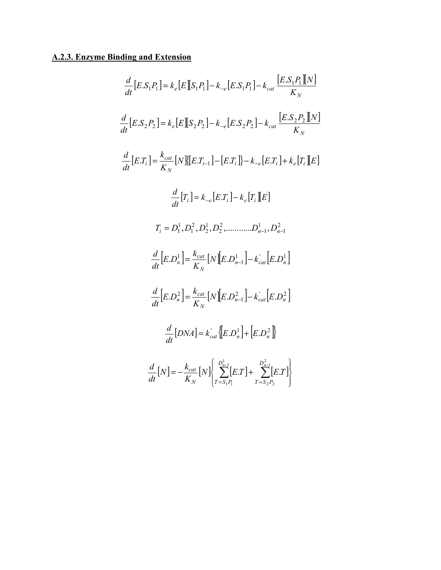# **A.2.3. Enzyme Binding and Extension**

$$
\frac{d}{dt}[E.S_1P_1] = k_e[E][S_1P_1] - k_{-e}[E.S_1P_1] - k_{cat}\frac{[E.S_1P_1][N]}{K_N}
$$
\n
$$
\frac{d}{dt}[E.S_2P_2] = k_e[E][S_2P_2] - k_{-e}[E.S_2P_2] - k_{cat}\frac{[E.S_2P_2][N]}{K_N}
$$
\n
$$
\frac{d}{dt}[E.T_i] = \frac{k_{cat}}{K_N}[N][E.T_{i-1}] - [E.T_i] - k_{-e}[E.T_i] + k_e[T_i][E]
$$
\n
$$
\frac{d}{dt}[T_i] = k_{-e}[E.T_i] - k_e[T_i][E]
$$
\n
$$
T_i = D_1^1, D_1^2, D_2^1, D_2^2, \dots, D_{n-1}^1, D_{n-1}^2
$$
\n
$$
\frac{d}{dt}[E.D_n^1] = \frac{k_{cat}}{K_N}[N][E.D_{n-1}^1] - k_{cat}^1[E.D_n^1]
$$
\n
$$
\frac{d}{dt}[E.D_n^2] = \frac{k_{cat}}{K_N}[N][E.D_{n-1}^2] - k_{cat}^1[E.D_n^2]
$$
\n
$$
\frac{d}{dt}[DNA] = k_{cat}\{E.D_n^1\} + [E.D_n^2]
$$
\n
$$
\frac{d}{dt}[N] = -\frac{k_{cat}}{K_N}[N]\left\{\sum_{T=S_1P_1}^{D_{n-1}^1}[E.T] + \sum_{T=S_2P_2}^{D_{n-1}^2}[E.T]\right\}
$$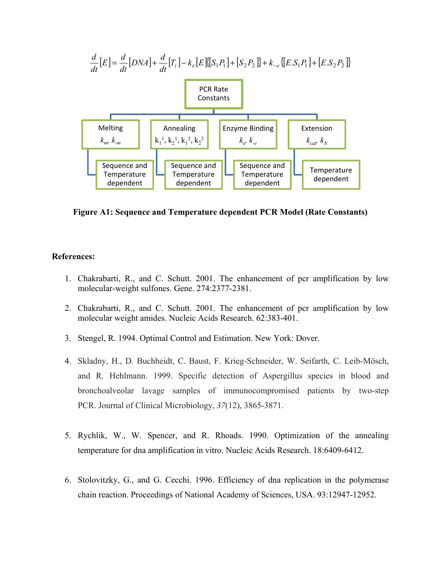

**Figure A1: Sequence and Temperature dependent PCR Model (Rate Constants)** 

### **References:**

- 1. Chakrabarti, R., and C. Schutt. 2001. The enhancement of pcr amplification by low molecular-weight sulfones. Gene. 274:2377-2381.
- 2. Chakrabarti, R., and C. Schutt. 2001. The enhancement of pcr amplification by low molecular weight amides. Nucleic Acids Research. 62:383-401.
- 3. Stengel, R. 1994. Optimal Control and Estimation. New York: Dover.
- 4. Skladny, H., D. Buchheidt, C. Baust, F. Krieg-Schneider, W. Seifarth, C. Leib-Mösch, and R. Hehlmann. 1999. Specific detection of Aspergillus species in blood and bronchoalveolar lavage samples of immunocompromised patients by two-step PCR. Journal of Clinical Microbiology, *37*(12), 3865-3871.
- 5. Rychlik, W., W. Spencer, and R. Rhoads. 1990. Optimization of the annealing temperature for dna amplification in vitro. Nucleic Acids Research. 18:6409-6412.
- 6. Stolovitzky, G., and G. Cecchi. 1996. Efficiency of dna replication in the polymerase chain reaction. Proceedings of National Academy of Sciences, USA. 93:12947-12952.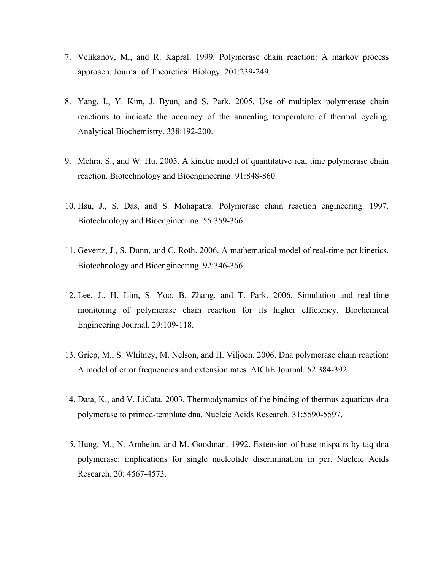- 7. Velikanov, M., and R. Kapral. 1999. Polymerase chain reaction: A markov process approach. Journal of Theoretical Biology. 201:239-249.
- 8. Yang, I., Y. Kim, J. Byun, and S. Park. 2005. Use of multiplex polymerase chain reactions to indicate the accuracy of the annealing temperature of thermal cycling. Analytical Biochemistry. 338:192-200.
- 9. Mehra, S., and W. Hu. 2005. A kinetic model of quantitative real time polymerase chain reaction. Biotechnology and Bioengineering. 91:848-860.
- 10. Hsu, J., S. Das, and S. Mohapatra. Polymerase chain reaction engineering. 1997. Biotechnology and Bioengineering. 55:359-366.
- 11. Gevertz, J., S. Dunn, and C. Roth. 2006. A mathematical model of real-time pcr kinetics. Biotechnology and Bioengineering. 92:346-366.
- 12. Lee, J., H. Lim, S. Yoo, B. Zhang, and T. Park. 2006. Simulation and real-time monitoring of polymerase chain reaction for its higher efficiency. Biochemical Engineering Journal. 29:109-118.
- 13. Griep, M., S. Whitney, M. Nelson, and H. Viljoen. 2006. Dna polymerase chain reaction: A model of error frequencies and extension rates. AIChE Journal. 52:384-392.
- 14. Data, K., and V. LiCata. 2003. Thermodynamics of the binding of thermus aquaticus dna polymerase to primed-template dna. Nucleic Acids Research. 31:5590-5597.
- 15. Hung, M., N. Arnheim, and M. Goodman. 1992. Extension of base mispairs by taq dna polymerase: implications for single nucleotide discrimination in pcr. Nucleic Acids Research. 20: 4567-4573.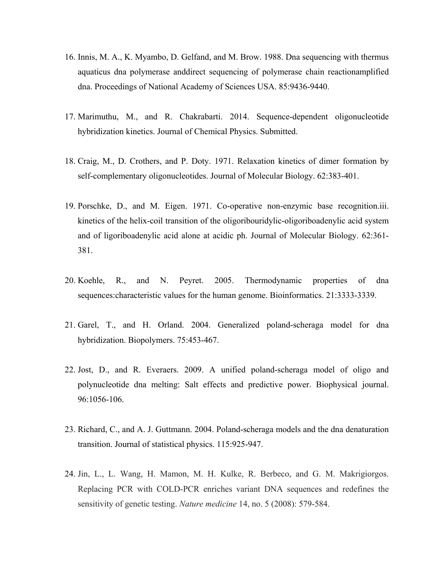- 16. Innis, M. A., K. Myambo, D. Gelfand, and M. Brow. 1988. Dna sequencing with thermus aquaticus dna polymerase anddirect sequencing of polymerase chain reactionamplified dna. Proceedings of National Academy of Sciences USA. 85:9436-9440.
- 17. Marimuthu, M., and R. Chakrabarti. 2014. Sequence-dependent oligonucleotide hybridization kinetics. Journal of Chemical Physics. Submitted.
- 18. Craig, M., D. Crothers, and P. Doty. 1971. Relaxation kinetics of dimer formation by self-complementary oligonucleotides. Journal of Molecular Biology. 62:383-401.
- 19. Porschke, D., and M. Eigen. 1971. Co-operative non-enzymic base recognition.iii. kinetics of the helix-coil transition of the oligoribouridylic-oligoriboadenylic acid system and of ligoriboadenylic acid alone at acidic ph. Journal of Molecular Biology. 62:361- 381.
- 20. Koehle, R., and N. Peyret. 2005. Thermodynamic properties of dna sequences:characteristic values for the human genome. Bioinformatics. 21:3333-3339.
- 21. Garel, T., and H. Orland. 2004. Generalized poland-scheraga model for dna hybridization. Biopolymers. 75:453-467.
- 22. Jost, D., and R. Everaers. 2009. A unified poland-scheraga model of oligo and polynucleotide dna melting: Salt effects and predictive power. Biophysical journal. 96:1056-106.
- 23. Richard, C., and A. J. Guttmann. 2004. Poland-scheraga models and the dna denaturation transition. Journal of statistical physics. 115:925-947.
- 24. Jin, L., L. Wang, H. Mamon, M. H. Kulke, R. Berbeco, and G. M. Makrigiorgos. Replacing PCR with COLD-PCR enriches variant DNA sequences and redefines the sensitivity of genetic testing. *Nature medicine* 14, no. 5 (2008): 579-584.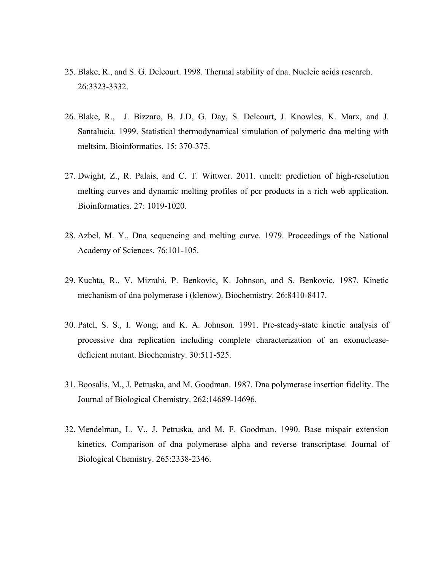- 25. Blake, R., and S. G. Delcourt. 1998. Thermal stability of dna. Nucleic acids research. 26:3323-3332.
- 26. Blake, R., J. Bizzaro, B. J.D, G. Day, S. Delcourt, J. Knowles, K. Marx, and J. Santalucia. 1999. Statistical thermodynamical simulation of polymeric dna melting with meltsim. Bioinformatics. 15: 370-375.
- 27. Dwight, Z., R. Palais, and C. T. Wittwer. 2011. umelt: prediction of high-resolution melting curves and dynamic melting profiles of pcr products in a rich web application. Bioinformatics. 27: 1019-1020.
- 28. Azbel, M. Y., Dna sequencing and melting curve. 1979. Proceedings of the National Academy of Sciences. 76:101-105.
- 29. Kuchta, R., V. Mizrahi, P. Benkovic, K. Johnson, and S. Benkovic. 1987. Kinetic mechanism of dna polymerase i (klenow). Biochemistry. 26:8410-8417.
- 30. Patel, S. S., I. Wong, and K. A. Johnson. 1991. Pre-steady-state kinetic analysis of processive dna replication including complete characterization of an exonucleasedeficient mutant. Biochemistry. 30:511-525.
- 31. Boosalis, M., J. Petruska, and M. Goodman. 1987. Dna polymerase insertion fidelity. The Journal of Biological Chemistry. 262:14689-14696.
- 32. Mendelman, L. V., J. Petruska, and M. F. Goodman. 1990. Base mispair extension kinetics. Comparison of dna polymerase alpha and reverse transcriptase. Journal of Biological Chemistry. 265:2338-2346.